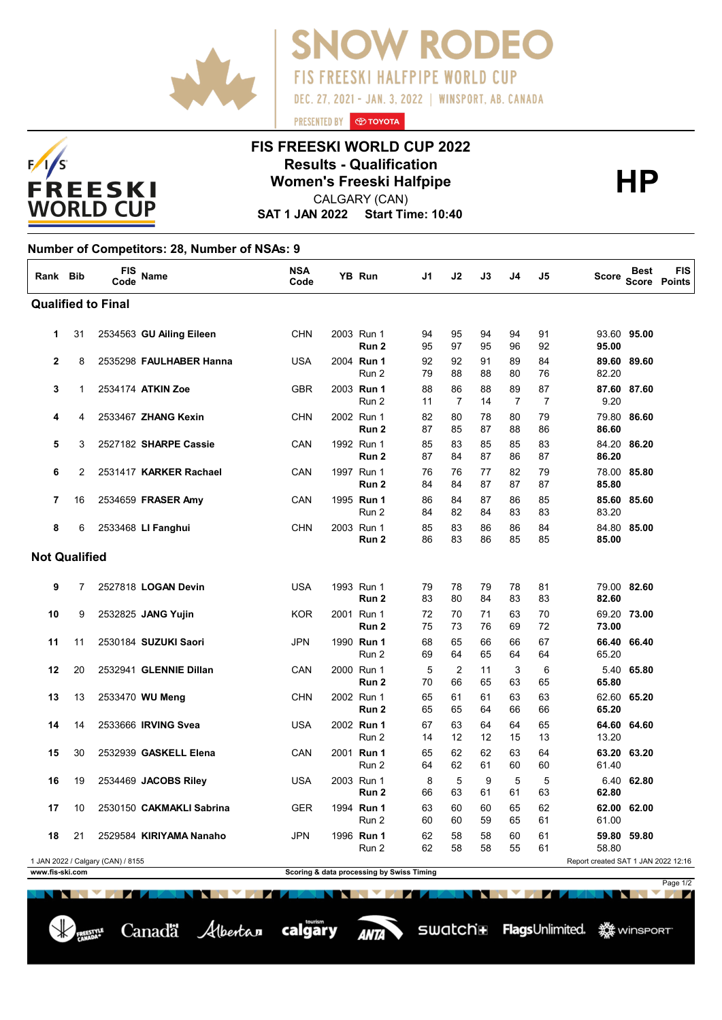

Canadä Albertan calgary



## **FIS FREESKI WORLD CUP 2022 Results - Qualification<br>
Women's Freeski Halfpipe<br>
CALGARY (CAN)**

PRESENTED BY **O TOYOTA** 

**FIS FREESKI HALFPIPE WORLD CUP** 

DEC. 27, 2021 - JAN. 3, 2022 | WINSPORT, AB. CANADA

**V RODEO** 

CALGARY (CAN)

**SAT 1 JAN 2022 Start Time: 10:40**

## **Number of Competitors: 28, Number of NSAs: 9**

| Rank Bib                                                                 |                | FIS<br>Code | Name                     | <b>NSA</b><br>Code |  | YB Run                         | J1       | J2                   | J3       | J4                   | J5                   | <b>Score</b> | Best        | <b>FIS</b><br><b>Score Points</b> |
|--------------------------------------------------------------------------|----------------|-------------|--------------------------|--------------------|--|--------------------------------|----------|----------------------|----------|----------------------|----------------------|--------------|-------------|-----------------------------------|
| <b>Qualified to Final</b>                                                |                |             |                          |                    |  |                                |          |                      |          |                      |                      |              |             |                                   |
| 1                                                                        | 31             |             | 2534563 GU Ailing Eileen | <b>CHN</b>         |  | 2003 Run 1<br>Run 2            | 94<br>95 | 95<br>97             | 94<br>95 | 94<br>96             | 91<br>92             | 95.00        | 93.60 95.00 |                                   |
| $\overline{2}$                                                           | 8              |             | 2535298 FAULHABER Hanna  | <b>USA</b>         |  | 2004 Run 1<br>Run 2            | 92<br>79 | 92<br>88             | 91<br>88 | 89<br>80             | 84<br>76             | 82.20        | 89.60 89.60 |                                   |
| 3                                                                        | 1              |             | 2534174 ATKIN Zoe        | <b>GBR</b>         |  | 2003 Run 1<br>Run 2            | 88<br>11 | 86<br>$\overline{7}$ | 88<br>14 | 89<br>$\overline{7}$ | 87<br>$\overline{7}$ | 9.20         | 87.60 87.60 |                                   |
| 4                                                                        | 4              |             | 2533467 ZHANG Kexin      | <b>CHN</b>         |  | 2002 Run 1<br>Run <sub>2</sub> | 82<br>87 | 80<br>85             | 78<br>87 | 80<br>88             | 79<br>86             | 86.60        | 79.80 86.60 |                                   |
| 5                                                                        | 3              |             | 2527182 SHARPE Cassie    | CAN                |  | 1992 Run 1<br>Run 2            | 85<br>87 | 83<br>84             | 85<br>87 | 85<br>86             | 83<br>87             | 86.20        | 84.20 86.20 |                                   |
| 6                                                                        | $\overline{2}$ |             | 2531417 KARKER Rachael   | CAN                |  | 1997 Run 1<br>Run 2            | 76<br>84 | 76<br>84             | 77<br>87 | 82<br>87             | 79<br>87             | 85.80        | 78.00 85.80 |                                   |
| 7                                                                        | 16             |             | 2534659 FRASER Amy       | CAN                |  | 1995 Run 1<br>Run 2            | 86<br>84 | 84<br>82             | 87<br>84 | 86<br>83             | 85<br>83             | 83.20        | 85.60 85.60 |                                   |
| 8                                                                        | 6              |             | 2533468 LI Fanghui       | <b>CHN</b>         |  | 2003 Run 1<br>Run <sub>2</sub> | 85<br>86 | 83<br>83             | 86<br>86 | 86<br>85             | 84<br>85             | 85.00        | 84.80 85.00 |                                   |
| <b>Not Qualified</b>                                                     |                |             |                          |                    |  |                                |          |                      |          |                      |                      |              |             |                                   |
| 9                                                                        | 7              |             | 2527818 LOGAN Devin      | <b>USA</b>         |  | 1993 Run 1<br>Run 2            | 79<br>83 | 78<br>80             | 79<br>84 | 78<br>83             | 81<br>83             | 82.60        | 79.00 82.60 |                                   |
| 10                                                                       | 9              |             | 2532825 JANG Yujin       | <b>KOR</b>         |  | 2001 Run 1<br>Run <sub>2</sub> | 72<br>75 | 70<br>73             | 71<br>76 | 63<br>69             | 70<br>72             | 73.00        | 69.20 73.00 |                                   |
| 11                                                                       | 11             |             | 2530184 SUZUKI Saori     | JPN                |  | 1990 Run 1<br>Run 2            | 68<br>69 | 65<br>64             | 66<br>65 | 66<br>64             | 67<br>64             | 65.20        | 66.40 66.40 |                                   |
| 12                                                                       | 20             |             | 2532941 GLENNIE Dillan   | CAN                |  | 2000 Run 1<br>Run 2            | 5<br>70  | $\overline{2}$<br>66 | 11<br>65 | 3<br>63              | 6<br>65              | 65.80        | 5.40 65.80  |                                   |
| 13                                                                       | 13             |             | 2533470 WU Meng          | <b>CHN</b>         |  | 2002 Run 1<br>Run 2            | 65<br>65 | 61<br>65             | 61<br>64 | 63<br>66             | 63<br>66             | 65.20        | 62.60 65.20 |                                   |
| 14                                                                       | 14             |             | 2533666 IRVING Svea      | <b>USA</b>         |  | 2002 Run 1<br>Run 2            | 67<br>14 | 63<br>12             | 64<br>12 | 64<br>15             | 65<br>13             | 13.20        | 64.60 64.60 |                                   |
| 15                                                                       | 30             |             | 2532939 GASKELL Elena    | CAN                |  | 2001 <b>Run 1</b><br>Run 2     | 65<br>64 | 62<br>62             | 62<br>61 | 63<br>60             | 64<br>60             | 61.40        | 63.20 63.20 |                                   |
| 16                                                                       | 19             |             | 2534469 JACOBS Riley     | <b>USA</b>         |  | 2003 Run 1<br>Run 2            | 8<br>66  | 5<br>63              | 9<br>61  | 5<br>61              | 5<br>63              | 62.80        | 6.40 62.80  |                                   |
| 17                                                                       | 10             |             | 2530150 CAKMAKLI Sabrina | <b>GER</b>         |  | 1994 Run 1<br>Run 2            | 63<br>60 | 60<br>60             | 60<br>59 | 65<br>65             | 62<br>61             | 61.00        | 62.00 62.00 |                                   |
| 18                                                                       | 21             |             | 2529584 KIRIYAMA Nanaho  | <b>JPN</b>         |  | 1996 Run 1<br>Run 2            | 62<br>62 | 58<br>58             | 58<br>58 | 60<br>55             | 61<br>61             | 58.80        | 59.80 59.80 |                                   |
| Report created SAT 1 JAN 2022 12:16<br>1 JAN 2022 / Calgary (CAN) / 8155 |                |             |                          |                    |  |                                |          |                      |          |                      |                      |              |             |                                   |
| www.fis-ski.com<br>Scoring & data processing by Swiss Timing<br>Page 1/2 |                |             |                          |                    |  |                                |          |                      |          |                      |                      |              |             |                                   |

**ANTA**